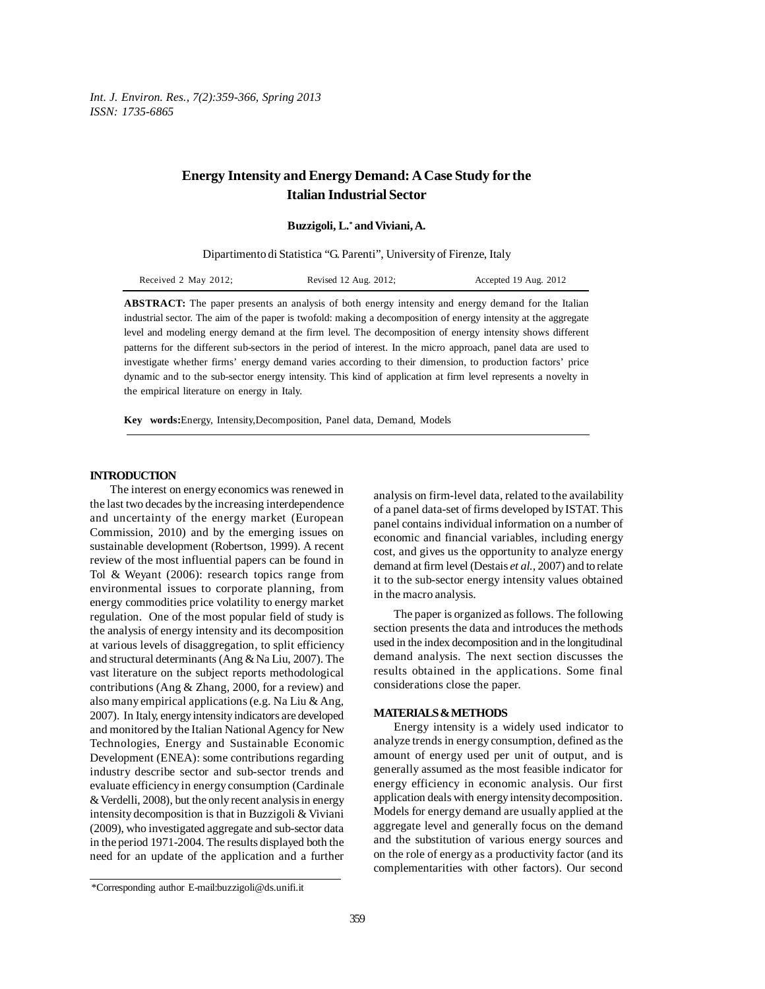*Int. J. Environ. Res., 7(2):359-366, Spring 2013 ISSN: 1735-6865*

# **Energy Intensity and Energy Demand: A Case Study for the Italian Industrial Sector**

**Buzzigoli, L.\* and Viviani, A.**

Dipartimento di Statistica "G. Parenti", University of Firenze, Italy

| Received 2 May 2012; | Revised 12 Aug. 2012; | Accepted 19 Aug. 2012 |
|----------------------|-----------------------|-----------------------|
|----------------------|-----------------------|-----------------------|

**ABSTRACT:** The paper presents an analysis of both energy intensity and energy demand for the Italian industrial sector. The aim of the paper is twofold: making a decomposition of energy intensity at the aggregate level and modeling energy demand at the firm level. The decomposition of energy intensity shows different patterns for the different sub-sectors in the period of interest. In the micro approach, panel data are used to investigate whether firms' energy demand varies according to their dimension, to production factors' price dynamic and to the sub-sector energy intensity. This kind of application at firm level represents a novelty in the empirical literature on energy in Italy.

**Key words:**Energy, Intensity,Decomposition, Panel data, Demand, Models

## **INTRODUCTION**

The interest on energy economics was renewed in the last two decades by the increasing interdependence and uncertainty of the energy market (European Commission, 2010) and by the emerging issues on sustainable development (Robertson, 1999). A recent review of the most influential papers can be found in Tol & Weyant (2006): research topics range from environmental issues to corporate planning, from energy commodities price volatility to energy market regulation. One of the most popular field of study is the analysis of energy intensity and its decomposition at various levels of disaggregation, to split efficiency and structural determinants (Ang & Na Liu, 2007). The vast literature on the subject reports methodological contributions (Ang & Zhang, 2000, for a review) and also many empirical applications (e.g. Na Liu & Ang, 2007). In Italy, energy intensity indicators are developed and monitored by the Italian National Agency for New Technologies, Energy and Sustainable Economic Development (ENEA): some contributions regarding industry describe sector and sub-sector trends and evaluate efficiency in energy consumption (Cardinale & Verdelli, 2008), but the only recent analysis in energy intensity decomposition is that in Buzzigoli & Viviani (2009), who investigated aggregate and sub-sector data in the period 1971-2004. The results displayed both the need for an update of the application and a further

analysis on firm-level data, related to the availability of a panel data-set of firms developed by ISTAT. This panel contains individual information on a number of economic and financial variables, including energy cost, and gives us the opportunity to analyze energy demand at firm level (Destais *et al.,* 2007) and to relate it to the sub-sector energy intensity values obtained in the macro analysis.

The paper is organized as follows. The following section presents the data and introduces the methods used in the index decomposition and in the longitudinal demand analysis. The next section discusses the results obtained in the applications. Some final considerations close the paper.

### **MATERIALS & METHODS**

Energy intensity is a widely used indicator to analyze trends in energy consumption, defined as the amount of energy used per unit of output, and is generally assumed as the most feasible indicator for energy efficiency in economic analysis. Our first application deals with energy intensity decomposition. Models for energy demand are usually applied at the aggregate level and generally focus on the demand and the substitution of various energy sources and on the role of energy as a productivity factor (and its complementarities with other factors). Our second

<sup>\*</sup>Corresponding author E-mail:buzzigoli@ds.unifi.it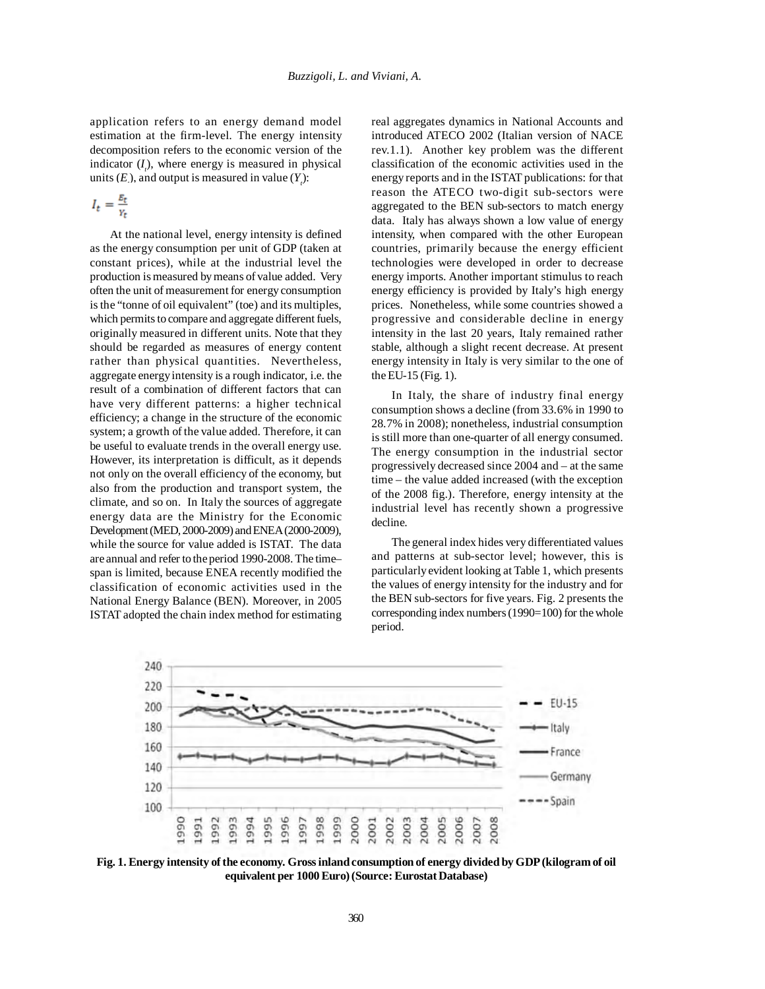application refers to an energy demand model estimation at the firm-level. The energy intensity decomposition refers to the economic version of the indicator  $(I_i)$ , where energy is measured in physical units  $(E)$ , and output is measured in value  $(Y_t)$ :

$$
I_t = \frac{E_t}{Y_t}
$$

At the national level, energy intensity is defined as the energy consumption per unit of GDP (taken at constant prices), while at the industrial level the production is measured by means of value added. Very often the unit of measurement for energy consumption is the "tonne of oil equivalent" (toe) and its multiples, which permits to compare and aggregate different fuels, originally measured in different units. Note that they should be regarded as measures of energy content rather than physical quantities. Nevertheless, aggregate energy intensity is a rough indicator, i.e. the result of a combination of different factors that can have very different patterns: a higher technical efficiency; a change in the structure of the economic system; a growth of the value added. Therefore, it can be useful to evaluate trends in the overall energy use. However, its interpretation is difficult, as it depends not only on the overall efficiency of the economy, but also from the production and transport system, the climate, and so on. In Italy the sources of aggregate energy data are the Ministry for the Economic Development (MED, 2000-2009) and ENEA (2000-2009), while the source for value added is ISTAT. The data are annual and refer to the period 1990-2008. The time– span is limited, because ENEA recently modified the classification of economic activities used in the National Energy Balance (BEN). Moreover, in 2005 ISTAT adopted the chain index method for estimating

real aggregates dynamics in National Accounts and introduced ATECO 2002 (Italian version of NACE rev.1.1). Another key problem was the different classification of the economic activities used in the energy reports and in the ISTAT publications: for that reason the ATECO two-digit sub-sectors were aggregated to the BEN sub-sectors to match energy data. Italy has always shown a low value of energy intensity, when compared with the other European countries, primarily because the energy efficient technologies were developed in order to decrease energy imports. Another important stimulus to reach energy efficiency is provided by Italy's high energy prices. Nonetheless, while some countries showed a progressive and considerable decline in energy intensity in the last 20 years, Italy remained rather stable, although a slight recent decrease. At present energy intensity in Italy is very similar to the one of the EU-15 (Fig. 1).

In Italy, the share of industry final energy consumption shows a decline (from 33.6% in 1990 to 28.7% in 2008); nonetheless, industrial consumption is still more than one-quarter of all energy consumed. The energy consumption in the industrial sector progressively decreased since 2004 and – at the same time – the value added increased (with the exception of the 2008 fig.). Therefore, energy intensity at the industrial level has recently shown a progressive decline.

The general index hides very differentiated values and patterns at sub-sector level; however, this is particularly evident looking at Table 1, which presents the values of energy intensity for the industry and for the BEN sub-sectors for five years. Fig. 2 presents the corresponding index numbers (1990=100) for the whole period.



**Fig. 1. Energy intensity of the economy. Gross inland consumption of energy divided by GDP (kilogram of oil equivalent per 1000 Euro) (Source: Eurostat Database)**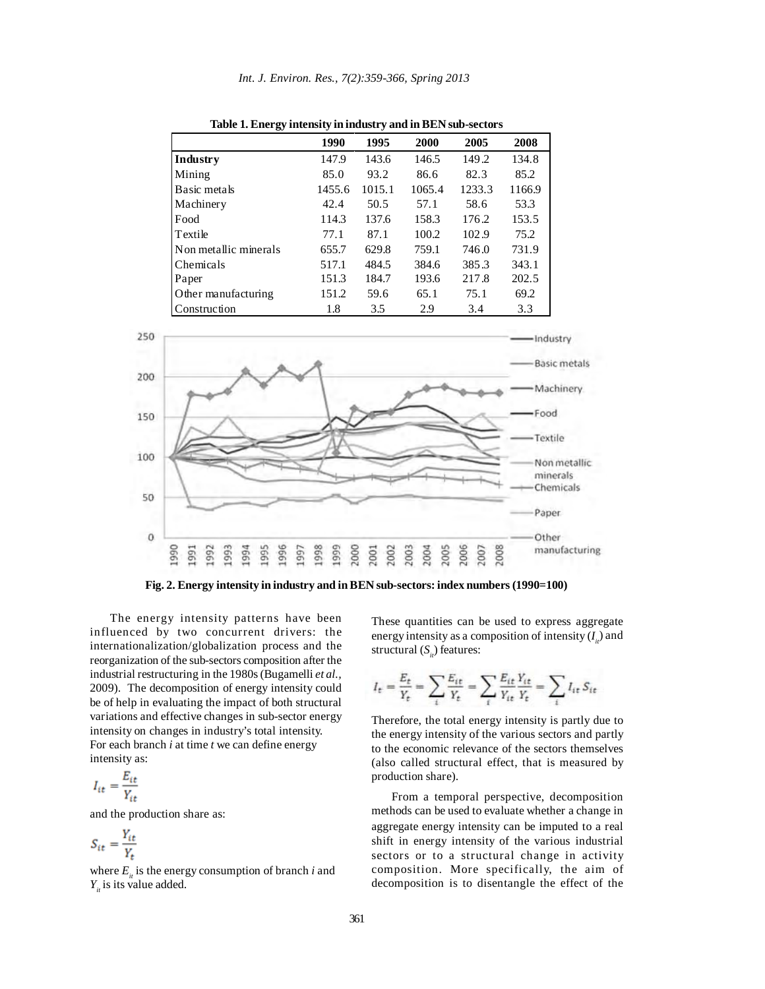| ⊷                     |        |        |        |        |        |
|-----------------------|--------|--------|--------|--------|--------|
|                       | 1990   | 1995   | 2000   | 2005   | 2008   |
| Industry              | 147.9  | 143.6  | 146.5  | 149.2  | 134.8  |
| Mining                | 85.0   | 93.2   | 86.6   | 82.3   | 85.2   |
| Basic metals          | 1455.6 | 1015.1 | 1065.4 | 1233.3 | 1166.9 |
| Machinery             | 42.4   | 50.5   | 57.1   | 58.6   | 53.3   |
| Food                  | 114.3  | 137.6  | 158.3  | 176.2  | 153.5  |
| Textile               | 77.1   | 87.1   | 100.2  | 102.9  | 75.2   |
| Non metallic minerals | 655.7  | 629.8  | 759.1  | 746.0  | 731.9  |
| Chemicals             | 517.1  | 484.5  | 384.6  | 385.3  | 343.1  |
| Paper                 | 151.3  | 184.7  | 193.6  | 217.8  | 202.5  |
| Other manufacturing   | 151.2  | 59.6   | 65.1   | 75.1   | 69.2   |
| Construction          | 1.8    | 3.5    | 2.9    | 3.4    | 3.3    |

**Table 1. Energy intensity in industry and in BEN sub-sectors**



**Fig. 2. Energy intensity in industry and in BEN sub-sectors: index numbers (1990=100)**

The energy intensity patterns have been influenced by two concurrent drivers: the internationalization/globalization process and the reorganization of the sub-sectors composition after the industrial restructuring in the 1980s (Bugamelli *et al.,* 2009). The decomposition of energy intensity could be of help in evaluating the impact of both structural variations and effective changes in sub-sector energy intensity on changes in industry's total intensity. For each branch *i* at time *t* we can define energy intensity as:

$$
I_{it} = \frac{E_{it}}{Y_{it}}
$$

and the production share as:

$$
S_{it} = \frac{Y_{it}}{Y_t}
$$

where  $E_{i}$  is the energy consumption of branch *i* and  $Y_{i}$  is its value added.

These quantities can be used to express aggregate energy intensity as a composition of intensity  $(I_{ii})$  and structural (*S<sub>ii</sub>*) features:

$$
I_t = \frac{E_t}{Y_t} = \sum_i \frac{E_{it}}{Y_t} = \sum_i \frac{E_{it}}{Y_{it}} \frac{Y_{it}}{Y_t} = \sum_i I_{it} S_{it}
$$

Therefore, the total energy intensity is partly due to the energy intensity of the various sectors and partly to the economic relevance of the sectors themselves (also called structural effect, that is measured by production share).

From a temporal perspective, decomposition methods can be used to evaluate whether a change in aggregate energy intensity can be imputed to a real shift in energy intensity of the various industrial sectors or to a structural change in activity composition. More specifically, the aim of decomposition is to disentangle the effect of the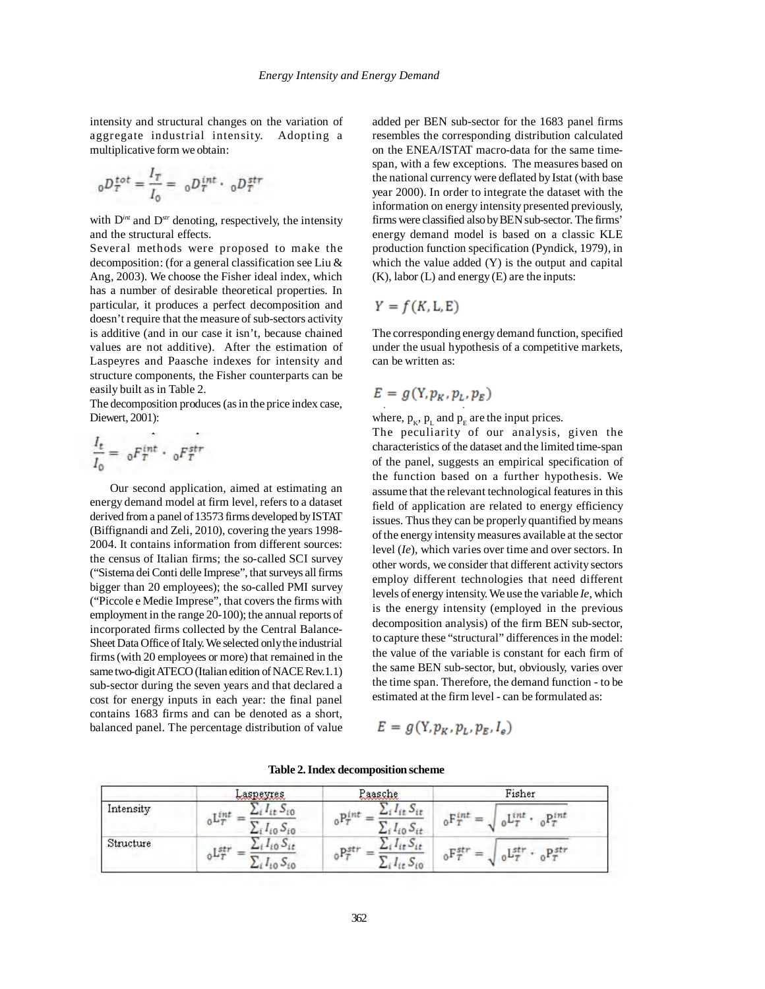intensity and structural changes on the variation of aggregate industrial intensity. Adopting a multiplicative form we obtain:

$$
{}_0D_T^{tot} = \frac{I_T}{I_0} = {}_0D_T^{int} \cdot {}_0D_T^{str}
$$

with D*int* and D*str* denoting, respectively, the intensity and the structural effects.

Several methods were proposed to make the decomposition: (for a general classification see Liu & Ang, 2003). We choose the Fisher ideal index, which has a number of desirable theoretical properties. In particular, it produces a perfect decomposition and doesn't require that the measure of sub-sectors activity is additive (and in our case it isn't, because chained values are not additive). After the estimation of Laspeyres and Paasche indexes for intensity and structure components, the Fisher counterparts can be easily built as in Table 2.

The decomposition produces (as in the price index case, Diewert, 2001):

$$
\frac{I_t}{I_0} = ~_0F_T^{int} \cdot ~_0F_T^{str}
$$

Our second application, aimed at estimating an energy demand model at firm level, refers to a dataset derived from a panel of 13573 firms developed by ISTAT (Biffignandi and Zeli, 2010), covering the years 1998- 2004. It contains information from different sources: the census of Italian firms; the so-called SCI survey ("Sistema dei Conti delle Imprese", that surveys all firms bigger than 20 employees); the so-called PMI survey ("Piccole e Medie Imprese", that covers the firms with employment in the range 20-100); the annual reports of incorporated firms collected by the Central Balance-Sheet Data Office of Italy. We selected only the industrial firms (with 20 employees or more) that remained in the same two-digit ATECO (Italian edition of NACE Rev.1.1) sub-sector during the seven years and that declared a cost for energy inputs in each year: the final panel contains 1683 firms and can be denoted as a short, balanced panel. The percentage distribution of value added per BEN sub-sector for the 1683 panel firms resembles the corresponding distribution calculated on the ENEA/ISTAT macro-data for the same timespan, with a few exceptions. The measures based on the national currency were deflated by Istat (with base year 2000). In order to integrate the dataset with the information on energy intensity presented previously, firms were classified also by BEN sub-sector. The firms' energy demand model is based on a classic KLE production function specification (Pyndick, 1979), in which the value added (Y) is the output and capital  $(K)$ , labor  $(L)$  and energy  $(E)$  are the inputs:

$$
Y = f(K, L, E)
$$

The corresponding energy demand function, specified under the usual hypothesis of a competitive markets, can be written as:

$$
E = g(Y, p_K, p_L, p_E)
$$

where,  $p_{K}$ ,  $p_{L}$  and  $p_{E}$  are the input prices.

The peculiarity of our analysis, given the characteristics of the dataset and the limited time-span of the panel, suggests an empirical specification of the function based on a further hypothesis. We assume that the relevant technological features in this field of application are related to energy efficiency issues. Thus they can be properly quantified by means of the energy intensity measures available at the sector level (*Ie*), which varies over time and over sectors. In other words, we consider that different activity sectors employ different technologies that need different levels of energy intensity. We use the variable *Ie*, which is the energy intensity (employed in the previous decomposition analysis) of the firm BEN sub-sector, to capture these "structural" differences in the model: the value of the variable is constant for each firm of the same BEN sub-sector, but, obviously, varies over the time span. Therefore, the demand function - to be estimated at the firm level - can be formulated as:

$$
E = g(Y, p_K, p_L, p_E, I_e)
$$

|           | Laspevres                                                                | Paasche                                                           | Fisher                                                                          |
|-----------|--------------------------------------------------------------------------|-------------------------------------------------------------------|---------------------------------------------------------------------------------|
| Intensity | r 2 722<br>$^{\circ}$<br>$1_{10}$ $0_{10}$<br>$-1$                       | 250<br>$15 +$<br>D.<br>0 <sup>T</sup><br>$i\omega$ of<br>ر گ      | 1.222<br>pint<br>r tnt<br>$\mathfrak{a}$ $\mathfrak{r}$<br>山ヶ<br>0 <sub>1</sub> |
| Structure | $+10$<br>551<br>ىيلق<br>$I_{10}$<br>$v_{i0}$<br>$\overline{\phantom{a}}$ | n<br>$11 + 12$<br>${}_{0}P^{st}_{T}$<br>$i(t - i0)$<br><b>Lat</b> | ${}_0P_T^{str}$<br>T 51<br>雪。<br><b>Little</b><br>0 <sup>T</sup>                |

**Table 2. Index decomposition scheme**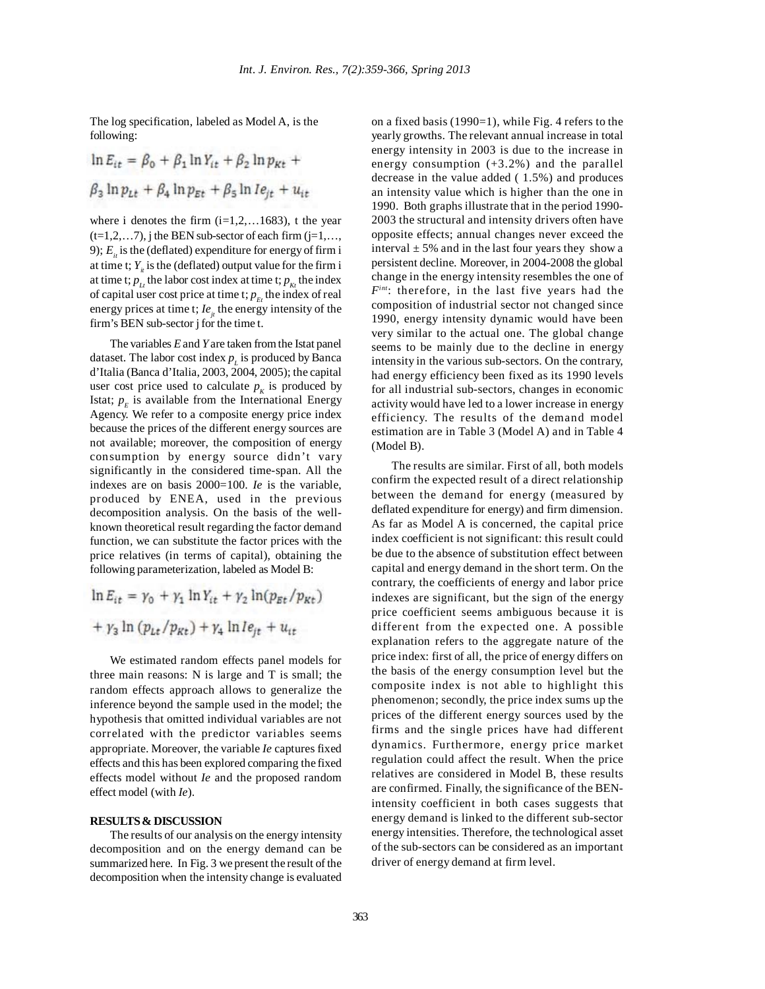The log specification, labeled as Model A, is the following:

$$
\ln E_{it} = \beta_0 + \beta_1 \ln Y_{it} + \beta_2 \ln p_{Kt} +
$$
  

$$
\beta_3 \ln p_{Lt} + \beta_4 \ln p_{Et} + \beta_5 \ln I e_{jt} + u_{it}
$$

where i denotes the firm  $(i=1,2,...1683)$ , t the year  $(t=1,2,...7)$ , j the BEN sub-sector of each firm  $(j=1,...,$ 9);  $E_i$  is the (deflated) expenditure for energy of firm i at time t;  $Y_{i}$  is the (deflated) output value for the firm i at time t;  $p_{tt}$  the labor cost index at time t;  $p_{kt}$  the index of capital user cost price at time t;  $p_{F_t}$  the index of real energy prices at time t;  $Ie_{it}$  the energy intensity of the firm's BEN sub-sector j for the time t.

The variables *E* and *Y* are taken from the Istat panel dataset. The labor cost index  $p_{\mu}$  is produced by Banca d'Italia (Banca d'Italia, 2003, 2004, 2005); the capital user cost price used to calculate  $p_k$  is produced by Istat;  $p<sub>F</sub>$  is available from the International Energy Agency. We refer to a composite energy price index because the prices of the different energy sources are not available; moreover, the composition of energy consumption by energy source didn't vary significantly in the considered time-span. All the indexes are on basis 2000=100. *Ie* is the variable, produced by ENEA, used in the previous decomposition analysis. On the basis of the wellknown theoretical result regarding the factor demand function, we can substitute the factor prices with the price relatives (in terms of capital), obtaining the following parameterization, labeled as Model B:

$$
\ln E_{it} = \gamma_0 + \gamma_1 \ln Y_{it} + \gamma_2 \ln(p_{Et}/p_{Kt})
$$

$$
+ \gamma_3 \ln (p_{Lt}/p_{Kt}) + \gamma_4 \ln l e_{jt} + u_{tt}
$$

We estimated random effects panel models for three main reasons: N is large and T is small; the random effects approach allows to generalize the inference beyond the sample used in the model; the hypothesis that omitted individual variables are not correlated with the predictor variables seems appropriate. Moreover, the variable *Ie* captures fixed effects and this has been explored comparing the fixed effects model without *Ie* and the proposed random effect model (with *Ie*).

#### **RESULTS & DISCUSSION**

The results of our analysis on the energy intensity decomposition and on the energy demand can be summarized here. In Fig. 3 we present the result of the decomposition when the intensity change is evaluated

on a fixed basis (1990=1), while Fig. 4 refers to the yearly growths. The relevant annual increase in total energy intensity in 2003 is due to the increase in energy consumption (+3.2%) and the parallel decrease in the value added ( 1.5%) and produces an intensity value which is higher than the one in 1990. Both graphs illustrate that in the period 1990- 2003 the structural and intensity drivers often have opposite effects; annual changes never exceed the interval  $\pm$  5% and in the last four years they show a persistent decline. Moreover, in 2004-2008 the global change in the energy intensity resembles the one of *Fint*: therefore, in the last five years had the composition of industrial sector not changed since 1990, energy intensity dynamic would have been very similar to the actual one. The global change seems to be mainly due to the decline in energy intensity in the various sub-sectors. On the contrary, had energy efficiency been fixed as its 1990 levels for all industrial sub-sectors, changes in economic activity would have led to a lower increase in energy efficiency. The results of the demand model estimation are in Table 3 (Model A) and in Table 4 (Model B).

The results are similar. First of all, both models confirm the expected result of a direct relationship between the demand for energy (measured by deflated expenditure for energy) and firm dimension. As far as Model A is concerned, the capital price index coefficient is not significant: this result could be due to the absence of substitution effect between capital and energy demand in the short term. On the contrary, the coefficients of energy and labor price indexes are significant, but the sign of the energy price coefficient seems ambiguous because it is different from the expected one. A possible explanation refers to the aggregate nature of the price index: first of all, the price of energy differs on the basis of the energy consumption level but the composite index is not able to highlight this phenomenon; secondly, the price index sums up the prices of the different energy sources used by the firms and the single prices have had different dynamics. Furthermore, energy price market regulation could affect the result. When the price relatives are considered in Model B, these results are confirmed. Finally, the significance of the BENintensity coefficient in both cases suggests that energy demand is linked to the different sub-sector energy intensities. Therefore, the technological asset of the sub-sectors can be considered as an important driver of energy demand at firm level.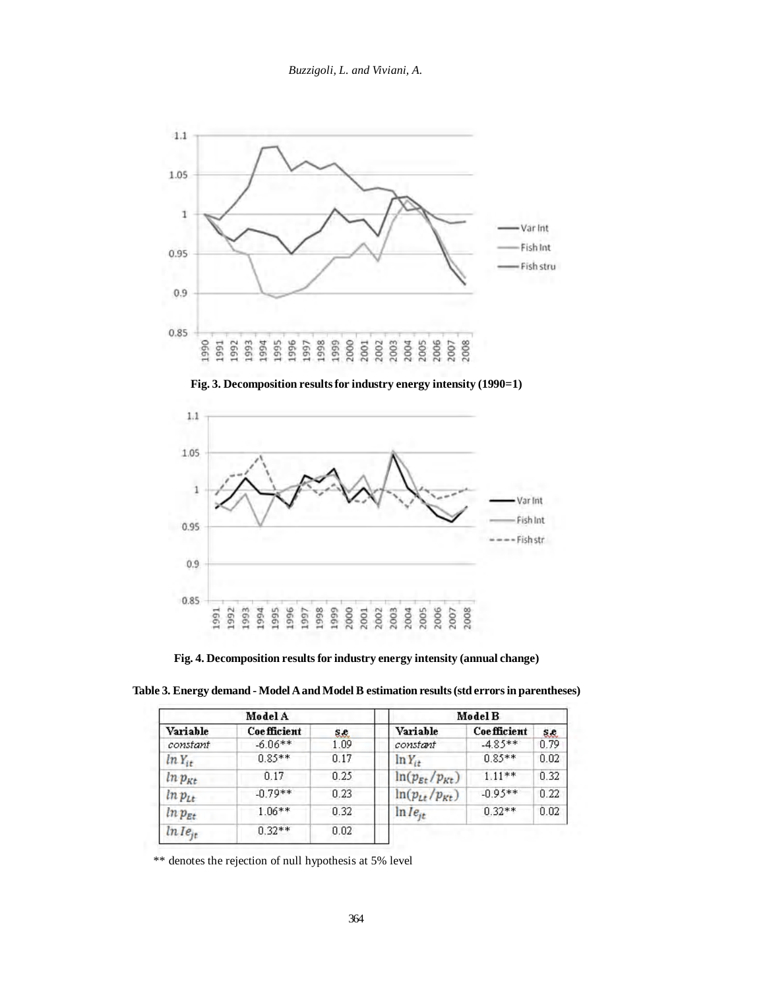







**Fig. 4. Decomposition results for industry energy intensity (annual change)**

| Table 3. Energy demand - Model A and Model B estimation results (std errors in parentheses) |         |  |  |  |  |
|---------------------------------------------------------------------------------------------|---------|--|--|--|--|
| Model A                                                                                     | Model B |  |  |  |  |

| Model A      |                    | Model B |                                   |                    |      |
|--------------|--------------------|---------|-----------------------------------|--------------------|------|
| Variable     | <b>Coefficient</b> | S.C.    | Variable                          | <b>Coefficient</b> | 8.2. |
| constant     | $-6.06**$          | 1.09    | constant                          | $-4.85**$          | 0.79 |
| $ln Y_{it}$  | $0.85**$           | 0.17    | $\ln Y_{it}$                      | $0.85**$           | 0.02 |
| $ln p_{Kt}$  | 0.17               | 0.25    | $ln(p_{\text{Et}}/p_{\text{Kt}})$ | $1.11**$           | 0.32 |
| $ln p_{Lt}$  | $-0.79**$          | 0.23    | $ln(p_{tt}/p_{Kt})$               | $-0.95**$          | 0.22 |
| $ln p_{Et}$  | $1.06**$           | 0.32    | $ln Ie_{it}$                      | $0.32**$           | 0.02 |
| $ln Ie_{ir}$ | $0.32**$           | 0.02    |                                   |                    |      |

\*\* denotes the rejection of null hypothesis at 5% level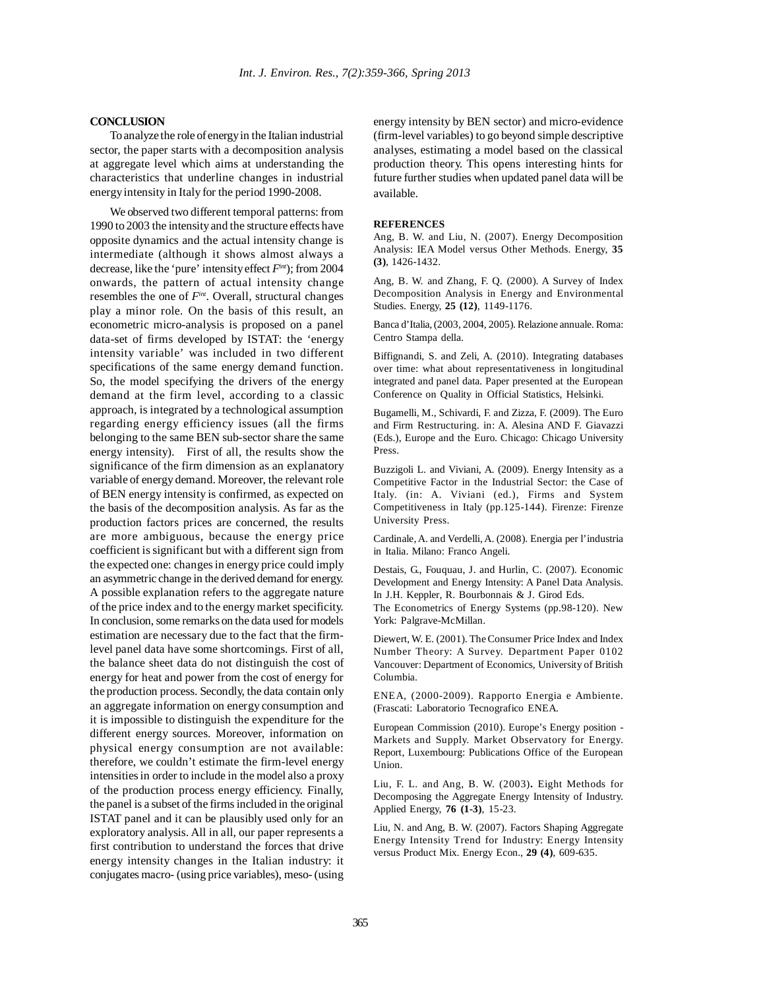## **CONCLUSION**

To analyze the role of energy in the Italian industrial sector, the paper starts with a decomposition analysis at aggregate level which aims at understanding the characteristics that underline changes in industrial energy intensity in Italy for the period 1990-2008.

We observed two different temporal patterns: from 1990 to 2003 the intensity and the structure effects have opposite dynamics and the actual intensity change is intermediate (although it shows almost always a decrease, like the 'pure' intensity effect *Fint*); from 2004 onwards, the pattern of actual intensity change resembles the one of *Fint*. Overall, structural changes play a minor role. On the basis of this result, an econometric micro-analysis is proposed on a panel data-set of firms developed by ISTAT: the 'energy intensity variable' was included in two different specifications of the same energy demand function. So, the model specifying the drivers of the energy demand at the firm level, according to a classic approach, is integrated by a technological assumption regarding energy efficiency issues (all the firms belonging to the same BEN sub-sector share the same energy intensity). First of all, the results show the significance of the firm dimension as an explanatory variable of energy demand. Moreover, the relevant role of BEN energy intensity is confirmed, as expected on the basis of the decomposition analysis. As far as the production factors prices are concerned, the results are more ambiguous, because the energy price coefficient is significant but with a different sign from the expected one: changes in energy price could imply an asymmetric change in the derived demand for energy. A possible explanation refers to the aggregate nature of the price index and to the energy market specificity. In conclusion, some remarks on the data used for models estimation are necessary due to the fact that the firmlevel panel data have some shortcomings. First of all, the balance sheet data do not distinguish the cost of energy for heat and power from the cost of energy for the production process. Secondly, the data contain only an aggregate information on energy consumption and it is impossible to distinguish the expenditure for the different energy sources. Moreover, information on physical energy consumption are not available: therefore, we couldn't estimate the firm-level energy intensities in order to include in the model also a proxy of the production process energy efficiency. Finally, the panel is a subset of the firms included in the original ISTAT panel and it can be plausibly used only for an exploratory analysis. All in all, our paper represents a first contribution to understand the forces that drive energy intensity changes in the Italian industry: it conjugates macro- (using price variables), meso- (using energy intensity by BEN sector) and micro-evidence (firm-level variables) to go beyond simple descriptive analyses, estimating a model based on the classical production theory. This opens interesting hints for future further studies when updated panel data will be available.

#### **REFERENCES**

Ang, B. W. and Liu, N. (2007). Energy Decomposition Analysis: IEA Model versus Other Methods. Energy, **35 (3)**, 1426-1432.

Ang, B. W. and Zhang, F. Q. (2000). A Survey of Index Decomposition Analysis in Energy and Environmental Studies. Energy, **25 (12)**, 1149-1176.

Banca d'Italia, (2003, 2004, 2005). Relazione annuale. Roma: Centro Stampa della.

Biffignandi, S. and Zeli, A. (2010). Integrating databases over time: what about representativeness in longitudinal integrated and panel data. Paper presented at the European Conference on Quality in Official Statistics, Helsinki.

Bugamelli, M., Schivardi, F. and Zizza, F. (2009). The Euro and Firm Restructuring. in: A. Alesina AND F. Giavazzi (Eds.), Europe and the Euro. Chicago: Chicago University Press.

Buzzigoli L. and Viviani, A. (2009). Energy Intensity as a Competitive Factor in the Industrial Sector: the Case of Italy. (in: A. Viviani (ed.), Firms and System Competitiveness in Italy (pp.125-144). Firenze: Firenze University Press.

Cardinale, A. and Verdelli, A. (2008). Energia per l'industria in Italia. Milano: Franco Angeli.

Destais, G., Fouquau, J. and Hurlin, C. (2007). Economic Development and Energy Intensity: A Panel Data Analysis. In J.H. Keppler, R. Bourbonnais & J. Girod Eds.

The Econometrics of Energy Systems (pp.98-120). New York: Palgrave-McMillan.

Diewert, W. E. (2001). The Consumer Price Index and Index Number Theory: A Survey. Department Paper 0102 Vancouver: Department of Economics, University of British Columbia.

ENEA, (2000-2009). Rapporto Energia e Ambiente. (Frascati: Laboratorio Tecnografico ENEA.

European Commission (2010). Europe's Energy position - Markets and Supply. Market Observatory for Energy. Report, Luxembourg: Publications Office of the European Union.

Liu, F. L. and Ang, B. W. (2003)**.** Eight Methods for Decomposing the Aggregate Energy Intensity of Industry. Applied Energy, **76 (1-3)**, 15-23.

Liu, N. and Ang, B. W. (2007). Factors Shaping Aggregate Energy Intensity Trend for Industry: Energy Intensity versus Product Mix. Energy Econ., **29 (4)**, 609-635.